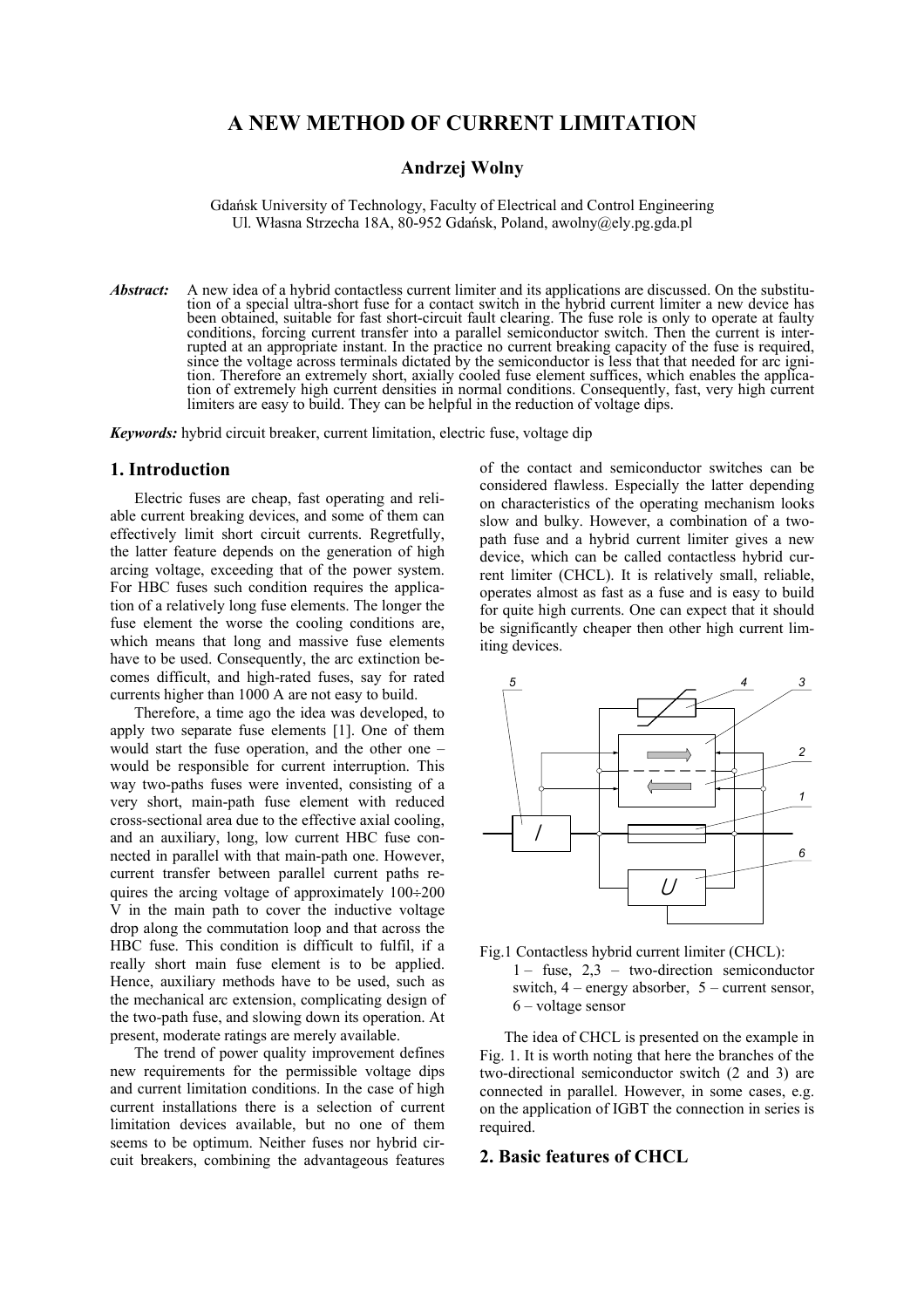# **A NEW METHOD OF CURRENT LIMITATION**

## **Andrzej Wolny**

Gdańsk University of Technology, Faculty of Electrical and Control Engineering Ul. Własna Strzecha 18A, 80-952 Gdańsk, Poland, awolny@ely.pg.gda.pl

*Abstract:* A new idea of a hybrid contactless current limiter and its applications are discussed. On the substitution of a special ultra-short fuse for a contact switch in the hybrid current limiter a new device has been obtained, suitable for fast short-circuit fault clearing. The fuse role is only to operate at faulty conditions, forcing current transfer into a parallel semiconductor switch. Then the current is interrupted at an appropriate instant. In the practice no current breaking capacity of the fuse is required, since the voltage across terminals dictated by the semiconductor is less that that needed for arc ignition. Therefore an extremely short, axially cooled fuse element suffices, which enables the application of extremely high current densities in normal conditions. Consequently, fast, very high current limiters are easy to build. They can be helpful in the reduction of voltage dips.

*Keywords:* hybrid circuit breaker, current limitation, electric fuse, voltage dip

## **1. Introduction**

Electric fuses are cheap, fast operating and reliable current breaking devices, and some of them can effectively limit short circuit currents. Regretfully, the latter feature depends on the generation of high arcing voltage, exceeding that of the power system. For HBC fuses such condition requires the application of a relatively long fuse elements. The longer the fuse element the worse the cooling conditions are, which means that long and massive fuse elements have to be used. Consequently, the arc extinction becomes difficult, and high-rated fuses, say for rated currents higher than 1000 A are not easy to build.

Therefore, a time ago the idea was developed, to apply two separate fuse elements [1]. One of them would start the fuse operation, and the other one – would be responsible for current interruption. This way two-paths fuses were invented, consisting of a very short, main-path fuse element with reduced cross-sectional area due to the effective axial cooling, and an auxiliary, long, low current HBC fuse connected in parallel with that main-path one. However, current transfer between parallel current paths requires the arcing voltage of approximately 100÷200 V in the main path to cover the inductive voltage drop along the commutation loop and that across the HBC fuse. This condition is difficult to fulfil, if a really short main fuse element is to be applied. Hence, auxiliary methods have to be used, such as the mechanical arc extension, complicating design of the two-path fuse, and slowing down its operation. At present, moderate ratings are merely available.

The trend of power quality improvement defines new requirements for the permissible voltage dips and current limitation conditions. In the case of high current installations there is a selection of current limitation devices available, but no one of them seems to be optimum. Neither fuses nor hybrid circuit breakers, combining the advantageous features

of the contact and semiconductor switches can be considered flawless. Especially the latter depending on characteristics of the operating mechanism looks slow and bulky. However, a combination of a twopath fuse and a hybrid current limiter gives a new device, which can be called contactless hybrid current limiter (CHCL). It is relatively small, reliable, operates almost as fast as a fuse and is easy to build for quite high currents. One can expect that it should be significantly cheaper then other high current limiting devices.





The idea of CHCL is presented on the example in Fig. 1. It is worth noting that here the branches of the two-directional semiconductor switch (2 and 3) are connected in parallel. However, in some cases, e.g. on the application of IGBT the connection in series is required.

### **2. Basic features of CHCL**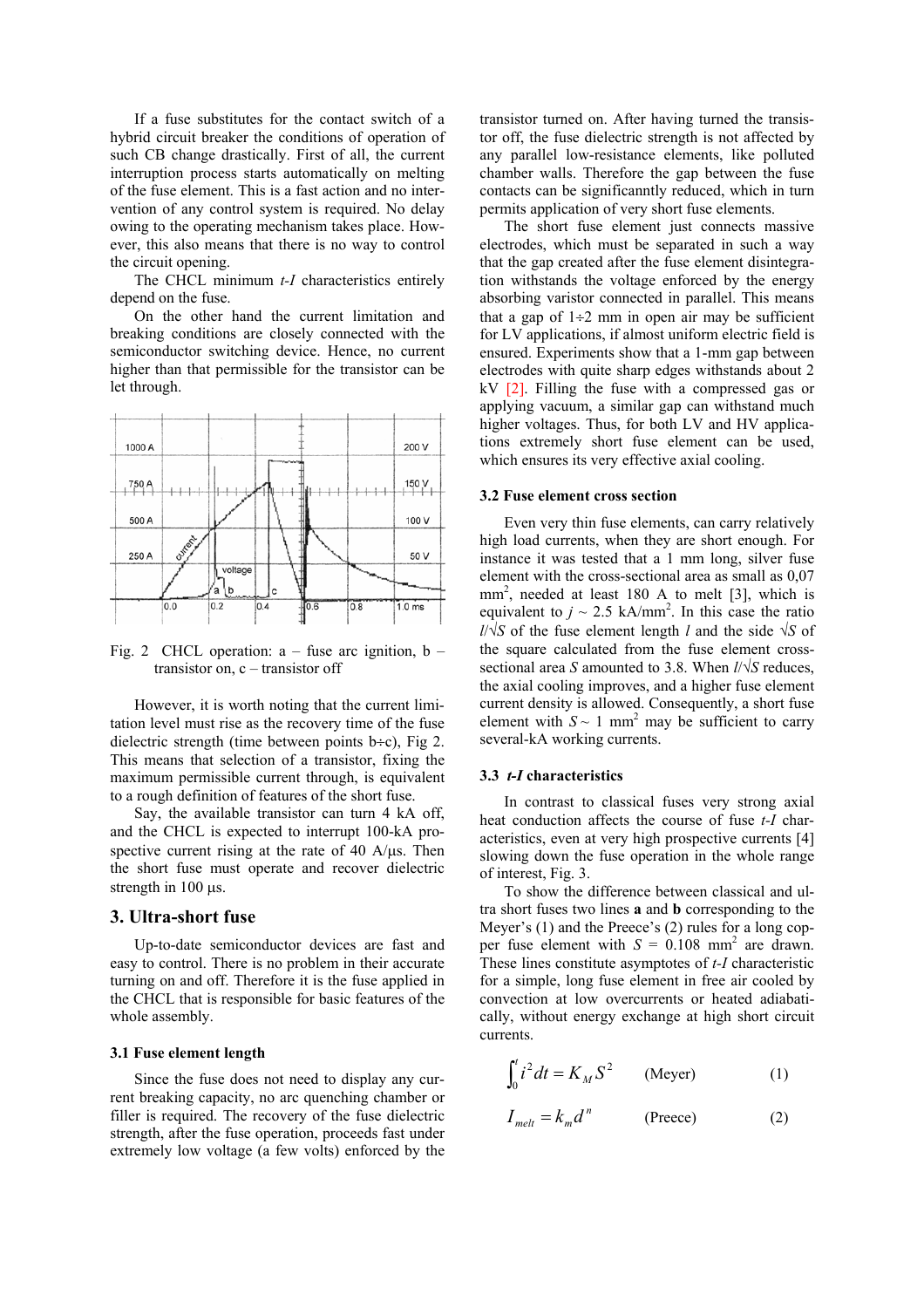If a fuse substitutes for the contact switch of a hybrid circuit breaker the conditions of operation of such CB change drastically. First of all, the current interruption process starts automatically on melting of the fuse element. This is a fast action and no intervention of any control system is required. No delay owing to the operating mechanism takes place. However, this also means that there is no way to control the circuit opening.

The CHCL minimum *t-I* characteristics entirely depend on the fuse.

On the other hand the current limitation and breaking conditions are closely connected with the semiconductor switching device. Hence, no current higher than that permissible for the transistor can be let through.



Fig. 2 CHCL operation:  $a - f$  as arc ignition,  $b - f$ transistor on, c – transistor off

However, it is worth noting that the current limitation level must rise as the recovery time of the fuse dielectric strength (time between points  $b \div c$ ), Fig 2. This means that selection of a transistor, fixing the maximum permissible current through, is equivalent to a rough definition of features of the short fuse.

Say, the available transistor can turn 4 kA off, and the CHCL is expected to interrupt 100-kA prospective current rising at the rate of 40  $A/\mu s$ . Then the short fuse must operate and recover dielectric strength in 100 µs.

## **3. Ultra-short fuse**

Up-to-date semiconductor devices are fast and easy to control. There is no problem in their accurate turning on and off. Therefore it is the fuse applied in the CHCL that is responsible for basic features of the whole assembly.

#### **3.1 Fuse element length**

Since the fuse does not need to display any current breaking capacity, no arc quenching chamber or filler is required. The recovery of the fuse dielectric strength, after the fuse operation, proceeds fast under extremely low voltage (a few volts) enforced by the

transistor turned on. After having turned the transistor off, the fuse dielectric strength is not affected by any parallel low-resistance elements, like polluted chamber walls. Therefore the gap between the fuse contacts can be significanntly reduced, which in turn permits application of very short fuse elements.

The short fuse element just connects massive electrodes, which must be separated in such a way that the gap created after the fuse element disintegration withstands the voltage enforced by the energy absorbing varistor connected in parallel. This means that a gap of  $1\div 2$  mm in open air may be sufficient for LV applications, if almost uniform electric field is ensured. Experiments show that a 1-mm gap between electrodes with quite sharp edges withstands about 2  $kV$  [2]. Filling the fuse with a compressed gas or applying vacuum, a similar gap can withstand much higher voltages. Thus, for both LV and HV applications extremely short fuse element can be used, which ensures its very effective axial cooling.

#### **3.2 Fuse element cross section**

Even very thin fuse elements, can carry relatively high load currents, when they are short enough. For instance it was tested that a 1 mm long, silver fuse element with the cross-sectional area as small as 0,07 mm<sup>2</sup>, needed at least 180 A to melt [3], which is equivalent to  $j \sim 2.5$  kA/mm<sup>2</sup>. In this case the ratio *l*/√*S* of the fuse element length *l* and the side √*S* of the square calculated from the fuse element crosssectional area *S* amounted to 3.8. When *l*/√*S* reduces, the axial cooling improves, and a higher fuse element current density is allowed. Consequently, a short fuse element with  $S \sim 1$  mm<sup>2</sup> may be sufficient to carry several-kA working currents.

#### **3.3** *t-I* **characteristics**

In contrast to classical fuses very strong axial heat conduction affects the course of fuse *t-I* characteristics, even at very high prospective currents [4] slowing down the fuse operation in the whole range of interest, Fig. 3.

To show the difference between classical and ultra short fuses two lines **a** and **b** corresponding to the Meyer's (1) and the Preece's (2) rules for a long copper fuse element with  $S = 0.108$  mm<sup>2</sup> are drawn. These lines constitute asymptotes of *t-I* characteristic for a simple, long fuse element in free air cooled by convection at low overcurrents or heated adiabatically, without energy exchange at high short circuit currents.

$$
\int_0^t i^2 dt = K_M S^2 \qquad \text{(Meyer)} \tag{1}
$$

$$
I_{melt} = k_m d^n
$$
 (Preece) (2)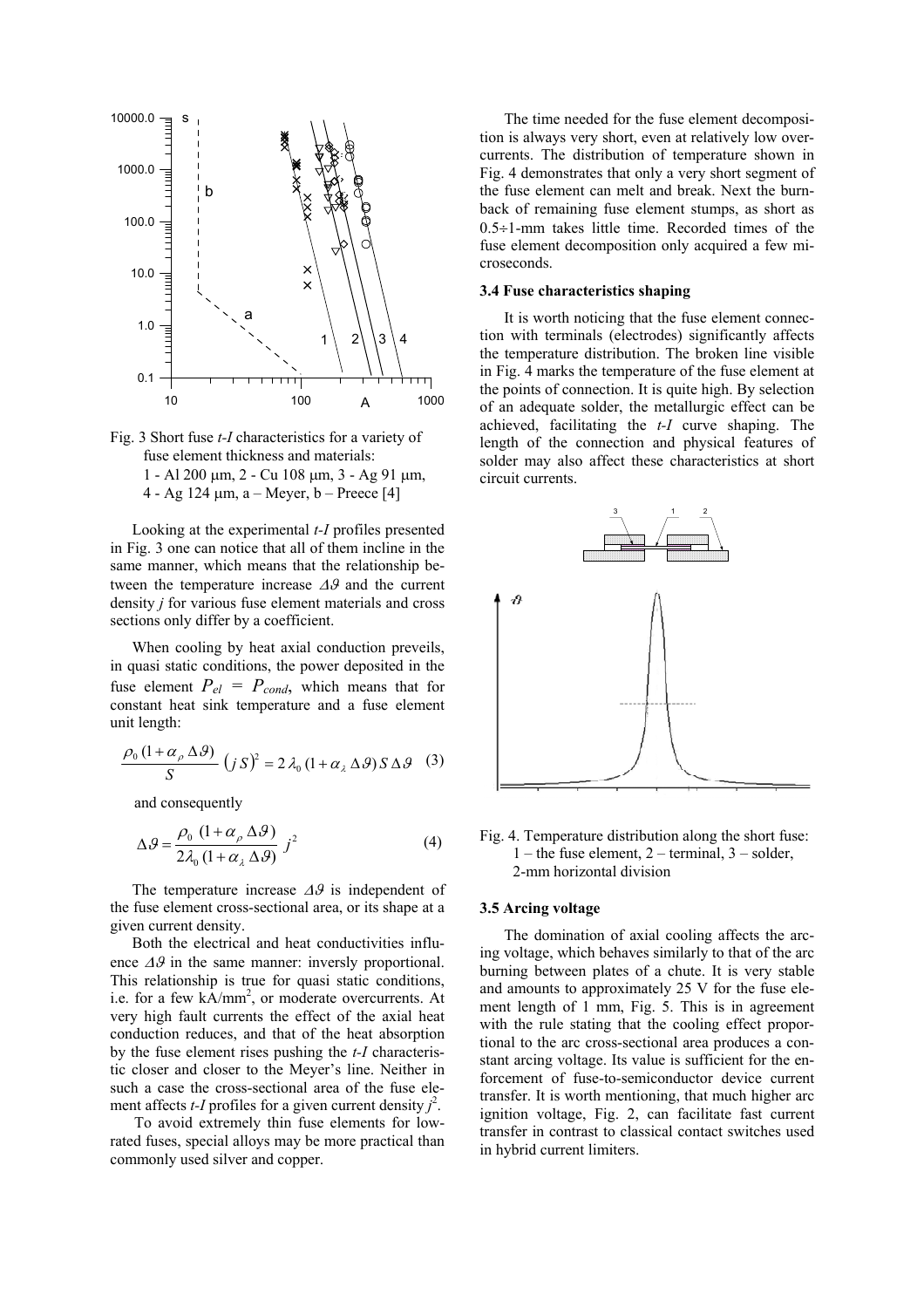



Looking at the experimental *t-I* profiles presented in Fig. 3 one can notice that all of them incline in the same manner, which means that the relationship between the temperature increase ∆ϑ and the current density *j* for various fuse element materials and cross sections only differ by a coefficient.

When cooling by heat axial conduction preveils, in quasi static conditions, the power deposited in the fuse element  $P_{el} = P_{cond}$ , which means that for constant heat sink temperature and a fuse element unit length:

$$
\frac{\rho_0 (1 + \alpha_{\rho} \Delta \mathcal{G})}{S} (jS)^2 = 2 \lambda_0 (1 + \alpha_{\lambda} \Delta \mathcal{G}) S \Delta \mathcal{G}
$$
 (3)

and consequently

$$
\Delta \theta = \frac{\rho_0 (1 + \alpha_\rho \Delta \theta)}{2\lambda_0 (1 + \alpha_\lambda \Delta \theta)} j^2
$$
 (4)

The temperature increase ∆ϑ is independent of the fuse element cross-sectional area, or its shape at a given current density.

Both the electrical and heat conductivities influence ∆ϑ in the same manner: inversly proportional. This relationship is true for quasi static conditions, i.e. for a few kA/mm<sup>2</sup>, or moderate overcurrents. At very high fault currents the effect of the axial heat conduction reduces, and that of the heat absorption by the fuse element rises pushing the *t-I* characteristic closer and closer to the Meyer's line. Neither in such a case the cross-sectional area of the fuse element affects *t*-*I* profiles for a given current density  $j^2$ .

To avoid extremely thin fuse elements for lowrated fuses, special alloys may be more practical than commonly used silver and copper.

The time needed for the fuse element decomposition is always very short, even at relatively low overcurrents. The distribution of temperature shown in Fig. 4 demonstrates that only a very short segment of the fuse element can melt and break. Next the burnback of remaining fuse element stumps, as short as  $0.5 \div 1$ -mm takes little time. Recorded times of the fuse element decomposition only acquired a few microseconds.

### **3.4 Fuse characteristics shaping**

It is worth noticing that the fuse element connection with terminals (electrodes) significantly affects the temperature distribution. The broken line visible in Fig. 4 marks the temperature of the fuse element at the points of connection. It is quite high. By selection of an adequate solder, the metallurgic effect can be achieved, facilitating the *t-I* curve shaping. The length of the connection and physical features of solder may also affect these characteristics at short circuit currents.



Fig. 4. Temperature distribution along the short fuse:  $1$  – the fuse element,  $2$  – terminal,  $3$  – solder, 2-mm horizontal division

## **3.5 Arcing voltage**

The domination of axial cooling affects the arcing voltage, which behaves similarly to that of the arc burning between plates of a chute. It is very stable and amounts to approximately 25 V for the fuse element length of 1 mm, Fig. 5. This is in agreement with the rule stating that the cooling effect proportional to the arc cross-sectional area produces a constant arcing voltage. Its value is sufficient for the enforcement of fuse-to-semiconductor device current transfer. It is worth mentioning, that much higher arc ignition voltage, Fig. 2, can facilitate fast current transfer in contrast to classical contact switches used in hybrid current limiters.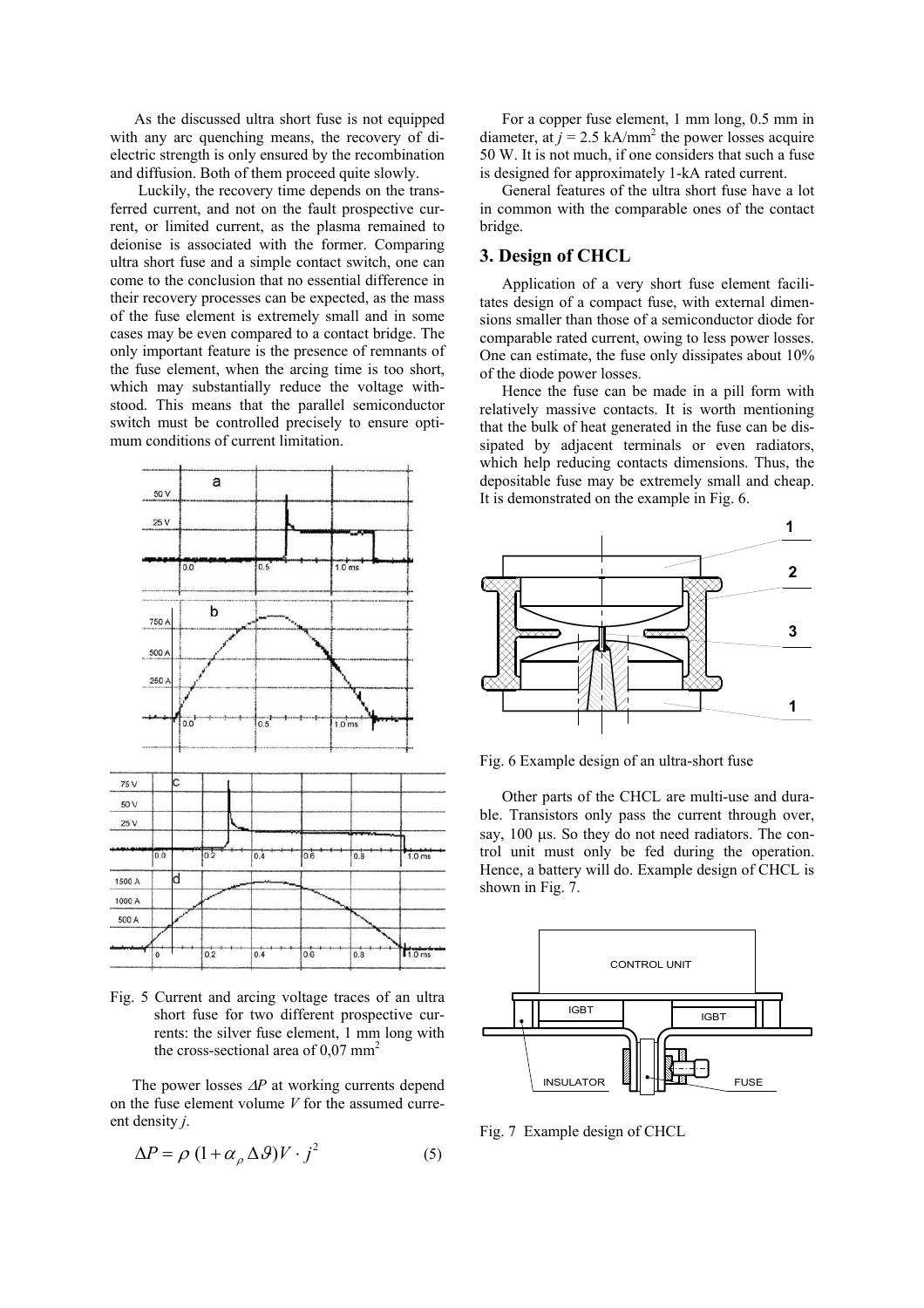As the discussed ultra short fuse is not equipped with any arc quenching means, the recovery of dielectric strength is only ensured by the recombination and diffusion. Both of them proceed quite slowly.

 Luckily, the recovery time depends on the transferred current, and not on the fault prospective current, or limited current, as the plasma remained to deionise is associated with the former. Comparing ultra short fuse and a simple contact switch, one can come to the conclusion that no essential difference in their recovery processes can be expected, as the mass of the fuse element is extremely small and in some cases may be even compared to a contact bridge. The only important feature is the presence of remnants of the fuse element, when the arcing time is too short, which may substantially reduce the voltage withstood. This means that the parallel semiconductor switch must be controlled precisely to ensure optimum conditions of current limitation.



Fig. 5 Current and arcing voltage traces of an ultra short fuse for two different prospective currents: the silver fuse element, 1 mm long with the cross-sectional area of  $0.07$  mm<sup>2</sup>

The power losses ∆*P* at working currents depend on the fuse element volume *V* for the assumed curreent density *j*.

$$
\Delta P = \rho \left( 1 + \alpha_{\rho} \Delta \mathcal{G} \right) V \cdot j^2 \tag{5}
$$

For a copper fuse element, 1 mm long, 0.5 mm in diameter, at  $j = 2.5$  kA/mm<sup>2</sup> the power losses acquire 50 W. It is not much, if one considers that such a fuse is designed for approximately 1-kA rated current.

General features of the ultra short fuse have a lot in common with the comparable ones of the contact bridge.

# **3. Design of CHCL**

Application of a very short fuse element facilitates design of a compact fuse, with external dimensions smaller than those of a semiconductor diode for comparable rated current, owing to less power losses. One can estimate, the fuse only dissipates about 10% of the diode power losses.

Hence the fuse can be made in a pill form with relatively massive contacts. It is worth mentioning that the bulk of heat generated in the fuse can be dissipated by adjacent terminals or even radiators, which help reducing contacts dimensions. Thus, the depositable fuse may be extremely small and cheap. It is demonstrated on the example in Fig. 6.



Fig. 6 Example design of an ultra-short fuse

Other parts of the CHCL are multi-use and durable. Transistors only pass the current through over, say, 100  $\mu$ s. So they do not need radiators. The control unit must only be fed during the operation. Hence, a battery will do. Example design of CHCL is shown in Fig. 7.



Fig. 7 Example design of CHCL